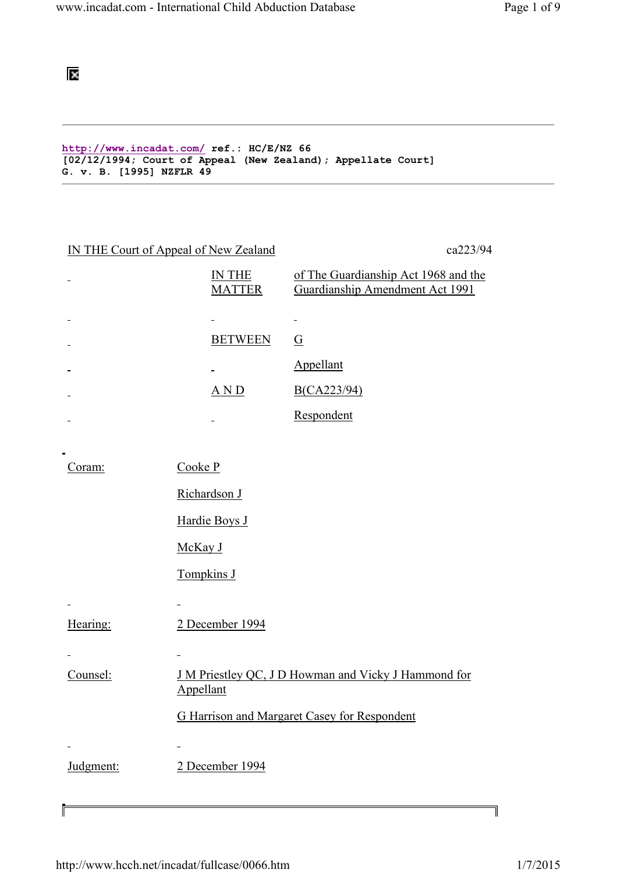$\mathbf{\times}$ 

http://www.incadat.com/ ref.: HC/E/NZ 66 [02/12/1994; Court of Appeal (New Zealand); Appellate Court] G. v. B. [1995] NZFLR 49

| IN THE Court of Appeal of New Zealand |                                                                   | ca223/94                                                                       |
|---------------------------------------|-------------------------------------------------------------------|--------------------------------------------------------------------------------|
|                                       | IN THE<br><b>MATTER</b>                                           | of The Guardianship Act 1968 and the<br><b>Guardianship Amendment Act 1991</b> |
|                                       |                                                                   |                                                                                |
|                                       | <b>BETWEEN</b>                                                    | $\overline{G}$                                                                 |
|                                       |                                                                   | Appellant                                                                      |
|                                       | A N D                                                             | B(CA223/94)                                                                    |
|                                       |                                                                   | Respondent                                                                     |
|                                       |                                                                   |                                                                                |
| Coram:                                | Cooke P                                                           |                                                                                |
|                                       | Richardson J                                                      |                                                                                |
|                                       | Hardie Boys J                                                     |                                                                                |
|                                       | McKay J                                                           |                                                                                |
|                                       | Tompkins J                                                        |                                                                                |
|                                       |                                                                   |                                                                                |
| Hearing:                              | 2 December 1994                                                   |                                                                                |
|                                       |                                                                   |                                                                                |
| Counsel:                              | J M Priestley QC, J D Howman and Vicky J Hammond for<br>Appellant |                                                                                |
|                                       | <b>G Harrison and Margaret Casey for Respondent</b>               |                                                                                |
|                                       |                                                                   |                                                                                |
| Judgment:                             | 2 December 1994                                                   |                                                                                |

 $\mathbb{F}$ 

Ī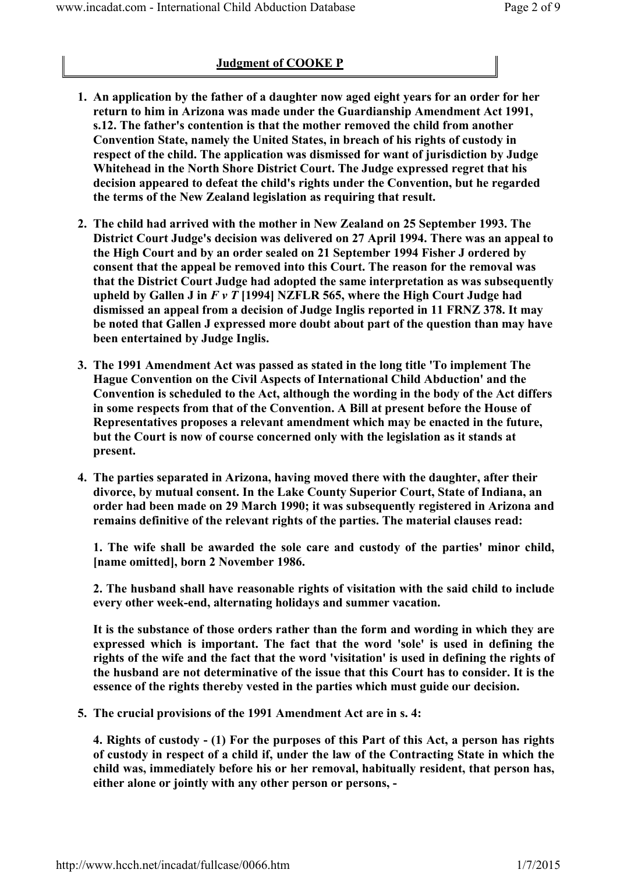## Judgment of COOKE P

- 1. An application by the father of a daughter now aged eight years for an order for her return to him in Arizona was made under the Guardianship Amendment Act 1991, s.12. The father's contention is that the mother removed the child from another Convention State, namely the United States, in breach of his rights of custody in respect of the child. The application was dismissed for want of jurisdiction by Judge Whitehead in the North Shore District Court. The Judge expressed regret that his decision appeared to defeat the child's rights under the Convention, but he regarded the terms of the New Zealand legislation as requiring that result.
- 2. The child had arrived with the mother in New Zealand on 25 September 1993. The District Court Judge's decision was delivered on 27 April 1994. There was an appeal to the High Court and by an order sealed on 21 September 1994 Fisher J ordered by consent that the appeal be removed into this Court. The reason for the removal was that the District Court Judge had adopted the same interpretation as was subsequently upheld by Gallen J in  $F \nu T$  [1994] NZFLR 565, where the High Court Judge had dismissed an appeal from a decision of Judge Inglis reported in 11 FRNZ 378. It may be noted that Gallen J expressed more doubt about part of the question than may have been entertained by Judge Inglis.
- 3. The 1991 Amendment Act was passed as stated in the long title 'To implement The Hague Convention on the Civil Aspects of International Child Abduction' and the Convention is scheduled to the Act, although the wording in the body of the Act differs in some respects from that of the Convention. A Bill at present before the House of Representatives proposes a relevant amendment which may be enacted in the future, but the Court is now of course concerned only with the legislation as it stands at present.
- 4. The parties separated in Arizona, having moved there with the daughter, after their divorce, by mutual consent. In the Lake County Superior Court, State of Indiana, an order had been made on 29 March 1990; it was subsequently registered in Arizona and remains definitive of the relevant rights of the parties. The material clauses read:

1. The wife shall be awarded the sole care and custody of the parties' minor child, [name omitted], born 2 November 1986.

2. The husband shall have reasonable rights of visitation with the said child to include every other week-end, alternating holidays and summer vacation.

It is the substance of those orders rather than the form and wording in which they are expressed which is important. The fact that the word 'sole' is used in defining the rights of the wife and the fact that the word 'visitation' is used in defining the rights of the husband are not determinative of the issue that this Court has to consider. It is the essence of the rights thereby vested in the parties which must guide our decision.

5. The crucial provisions of the 1991 Amendment Act are in s. 4:

4. Rights of custody - (1) For the purposes of this Part of this Act, a person has rights of custody in respect of a child if, under the law of the Contracting State in which the child was, immediately before his or her removal, habitually resident, that person has, either alone or jointly with any other person or persons, -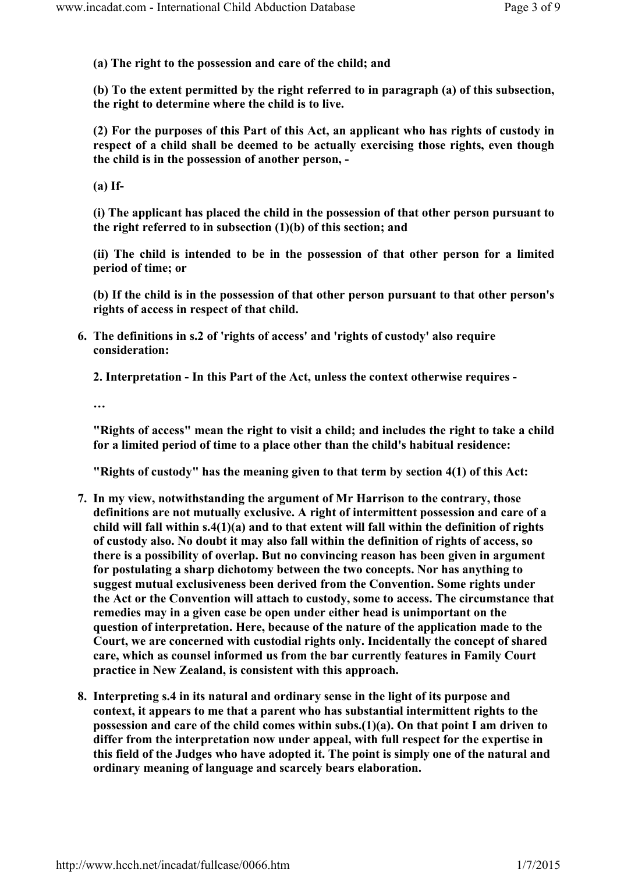(a) The right to the possession and care of the child; and

(b) To the extent permitted by the right referred to in paragraph (a) of this subsection, the right to determine where the child is to live.

(2) For the purposes of this Part of this Act, an applicant who has rights of custody in respect of a child shall be deemed to be actually exercising those rights, even though the child is in the possession of another person, -

(a) If-

(i) The applicant has placed the child in the possession of that other person pursuant to the right referred to in subsection (1)(b) of this section; and

(ii) The child is intended to be in the possession of that other person for a limited period of time; or

(b) If the child is in the possession of that other person pursuant to that other person's rights of access in respect of that child.

6. The definitions in s.2 of 'rights of access' and 'rights of custody' also require consideration:

2. Interpretation - In this Part of the Act, unless the context otherwise requires -

…

"Rights of access" mean the right to visit a child; and includes the right to take a child for a limited period of time to a place other than the child's habitual residence:

"Rights of custody" has the meaning given to that term by section 4(1) of this Act:

- 7. In my view, notwithstanding the argument of Mr Harrison to the contrary, those definitions are not mutually exclusive. A right of intermittent possession and care of a child will fall within s.4(1)(a) and to that extent will fall within the definition of rights of custody also. No doubt it may also fall within the definition of rights of access, so there is a possibility of overlap. But no convincing reason has been given in argument for postulating a sharp dichotomy between the two concepts. Nor has anything to suggest mutual exclusiveness been derived from the Convention. Some rights under the Act or the Convention will attach to custody, some to access. The circumstance that remedies may in a given case be open under either head is unimportant on the question of interpretation. Here, because of the nature of the application made to the Court, we are concerned with custodial rights only. Incidentally the concept of shared care, which as counsel informed us from the bar currently features in Family Court practice in New Zealand, is consistent with this approach.
- 8. Interpreting s.4 in its natural and ordinary sense in the light of its purpose and context, it appears to me that a parent who has substantial intermittent rights to the possession and care of the child comes within subs. $(1)(a)$ . On that point I am driven to differ from the interpretation now under appeal, with full respect for the expertise in this field of the Judges who have adopted it. The point is simply one of the natural and ordinary meaning of language and scarcely bears elaboration.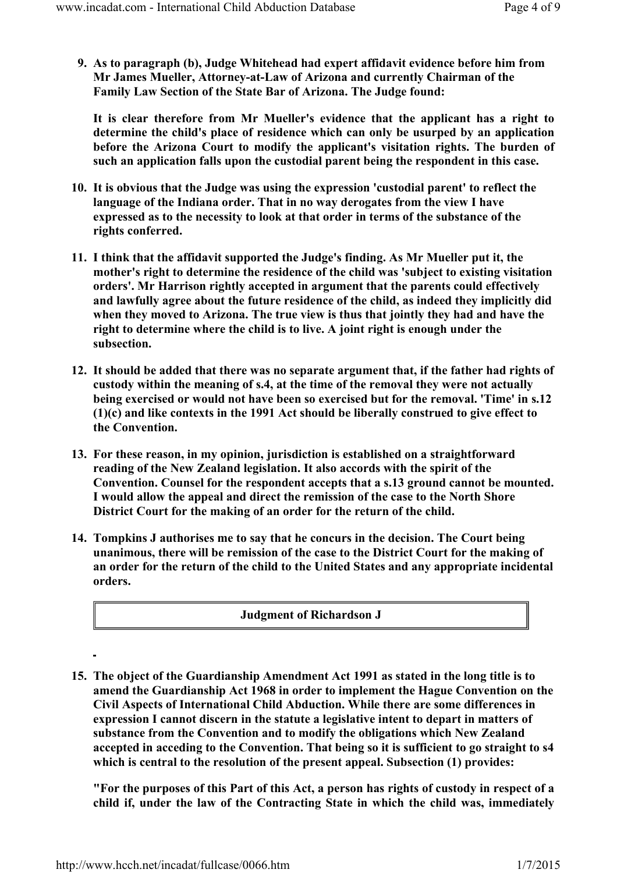9. As to paragraph (b), Judge Whitehead had expert affidavit evidence before him from Mr James Mueller, Attorney-at-Law of Arizona and currently Chairman of the Family Law Section of the State Bar of Arizona. The Judge found:

It is clear therefore from Mr Mueller's evidence that the applicant has a right to determine the child's place of residence which can only be usurped by an application before the Arizona Court to modify the applicant's visitation rights. The burden of such an application falls upon the custodial parent being the respondent in this case.

- 10. It is obvious that the Judge was using the expression 'custodial parent' to reflect the language of the Indiana order. That in no way derogates from the view I have expressed as to the necessity to look at that order in terms of the substance of the rights conferred.
- 11. I think that the affidavit supported the Judge's finding. As Mr Mueller put it, the mother's right to determine the residence of the child was 'subject to existing visitation orders'. Mr Harrison rightly accepted in argument that the parents could effectively and lawfully agree about the future residence of the child, as indeed they implicitly did when they moved to Arizona. The true view is thus that jointly they had and have the right to determine where the child is to live. A joint right is enough under the subsection.
- 12. It should be added that there was no separate argument that, if the father had rights of custody within the meaning of s.4, at the time of the removal they were not actually being exercised or would not have been so exercised but for the removal. 'Time' in s.12 (1)(c) and like contexts in the 1991 Act should be liberally construed to give effect to the Convention.
- 13. For these reason, in my opinion, jurisdiction is established on a straightforward reading of the New Zealand legislation. It also accords with the spirit of the Convention. Counsel for the respondent accepts that a s.13 ground cannot be mounted. I would allow the appeal and direct the remission of the case to the North Shore District Court for the making of an order for the return of the child.
- 14. Tompkins J authorises me to say that he concurs in the decision. The Court being unanimous, there will be remission of the case to the District Court for the making of an order for the return of the child to the United States and any appropriate incidental orders.

Judgment of Richardson J

15. The object of the Guardianship Amendment Act 1991 as stated in the long title is to amend the Guardianship Act 1968 in order to implement the Hague Convention on the Civil Aspects of International Child Abduction. While there are some differences in expression I cannot discern in the statute a legislative intent to depart in matters of substance from the Convention and to modify the obligations which New Zealand accepted in acceding to the Convention. That being so it is sufficient to go straight to s4 which is central to the resolution of the present appeal. Subsection (1) provides:

"For the purposes of this Part of this Act, a person has rights of custody in respect of a child if, under the law of the Contracting State in which the child was, immediately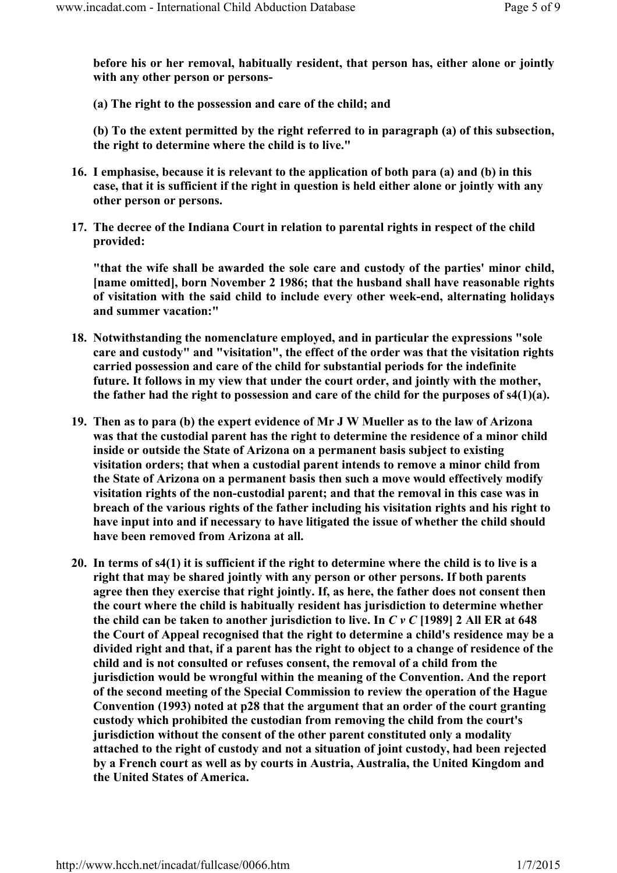before his or her removal, habitually resident, that person has, either alone or jointly with any other person or persons-

(a) The right to the possession and care of the child; and

(b) To the extent permitted by the right referred to in paragraph (a) of this subsection, the right to determine where the child is to live."

- 16. I emphasise, because it is relevant to the application of both para (a) and (b) in this case, that it is sufficient if the right in question is held either alone or jointly with any other person or persons.
- 17. The decree of the Indiana Court in relation to parental rights in respect of the child provided:

"that the wife shall be awarded the sole care and custody of the parties' minor child, [name omitted], born November 2 1986; that the husband shall have reasonable rights of visitation with the said child to include every other week-end, alternating holidays and summer vacation:"

- 18. Notwithstanding the nomenclature employed, and in particular the expressions "sole care and custody" and "visitation", the effect of the order was that the visitation rights carried possession and care of the child for substantial periods for the indefinite future. It follows in my view that under the court order, and jointly with the mother, the father had the right to possession and care of the child for the purposes of s4(1)(a).
- 19. Then as to para (b) the expert evidence of Mr J W Mueller as to the law of Arizona was that the custodial parent has the right to determine the residence of a minor child inside or outside the State of Arizona on a permanent basis subject to existing visitation orders; that when a custodial parent intends to remove a minor child from the State of Arizona on a permanent basis then such a move would effectively modify visitation rights of the non-custodial parent; and that the removal in this case was in breach of the various rights of the father including his visitation rights and his right to have input into and if necessary to have litigated the issue of whether the child should have been removed from Arizona at all.
- 20. In terms of s4(1) it is sufficient if the right to determine where the child is to live is a right that may be shared jointly with any person or other persons. If both parents agree then they exercise that right jointly. If, as here, the father does not consent then the court where the child is habitually resident has jurisdiction to determine whether the child can be taken to another jurisdiction to live. In  $C$  v  $C$  [1989] 2 All ER at 648 the Court of Appeal recognised that the right to determine a child's residence may be a divided right and that, if a parent has the right to object to a change of residence of the child and is not consulted or refuses consent, the removal of a child from the jurisdiction would be wrongful within the meaning of the Convention. And the report of the second meeting of the Special Commission to review the operation of the Hague Convention (1993) noted at p28 that the argument that an order of the court granting custody which prohibited the custodian from removing the child from the court's jurisdiction without the consent of the other parent constituted only a modality attached to the right of custody and not a situation of joint custody, had been rejected by a French court as well as by courts in Austria, Australia, the United Kingdom and the United States of America.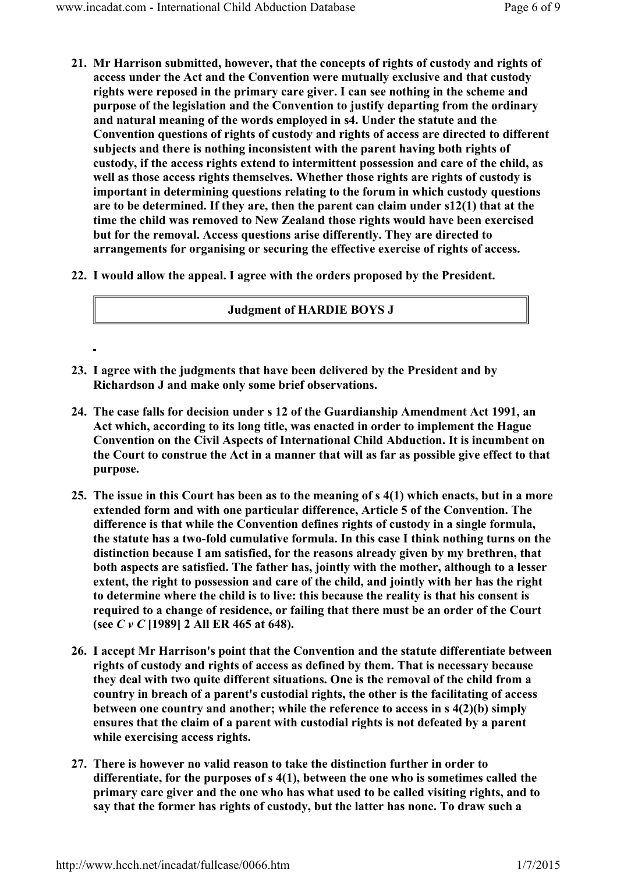- 21. Mr Harrison submitted, however, that the concepts of rights of custody and rights of access under the Act and the Convention were mutually exclusive and that custody rights were reposed in the primary care giver. I can see nothing in the scheme and purpose of the legislation and the Convention to justify departing from the ordinary and natural meaning of the words employed in s4. Under the statute and the Convention questions of rights of custody and rights of access are directed to different subjects and there is nothing inconsistent with the parent having both rights of custody, if the access rights extend to intermittent possession and care of the child, as well as those access rights themselves. Whether those rights are rights of custody is important in determining questions relating to the forum in which custody questions are to be determined. If they are, then the parent can claim under s12(1) that at the time the child was removed to New Zealand those rights would have been exercised but for the removal. Access questions arise differently. They are directed to arrangements for organising or securing the effective exercise of rights of access.
- 22. I would allow the appeal. I agree with the orders proposed by the President.

## Judgment of HARDIE BOYS J

- 23. I agree with the judgments that have been delivered by the President and by Richardson J and make only some brief observations.
- 24. The case falls for decision under s 12 of the Guardianship Amendment Act 1991, an Act which, according to its long title, was enacted in order to implement the Hague Convention on the Civil Aspects of International Child Abduction. It is incumbent on the Court to construe the Act in a manner that will as far as possible give effect to that purpose.
- 25. The issue in this Court has been as to the meaning of s 4(1) which enacts, but in a more extended form and with one particular difference, Article 5 of the Convention. The difference is that while the Convention defines rights of custody in a single formula, the statute has a two-fold cumulative formula. In this case I think nothing turns on the distinction because I am satisfied, for the reasons already given by my brethren, that both aspects are satisfied. The father has, jointly with the mother, although to a lesser extent, the right to possession and care of the child, and jointly with her has the right to determine where the child is to live: this because the reality is that his consent is required to a change of residence, or failing that there must be an order of the Court (see C v C [1989] 2 All ER 465 at 648).
- 26. I accept Mr Harrison's point that the Convention and the statute differentiate between rights of custody and rights of access as defined by them. That is necessary because they deal with two quite different situations. One is the removal of the child from a country in breach of a parent's custodial rights, the other is the facilitating of access between one country and another; while the reference to access in s 4(2)(b) simply ensures that the claim of a parent with custodial rights is not defeated by a parent while exercising access rights.
- 27. There is however no valid reason to take the distinction further in order to differentiate, for the purposes of s 4(1), between the one who is sometimes called the primary care giver and the one who has what used to be called visiting rights, and to say that the former has rights of custody, but the latter has none. To draw such a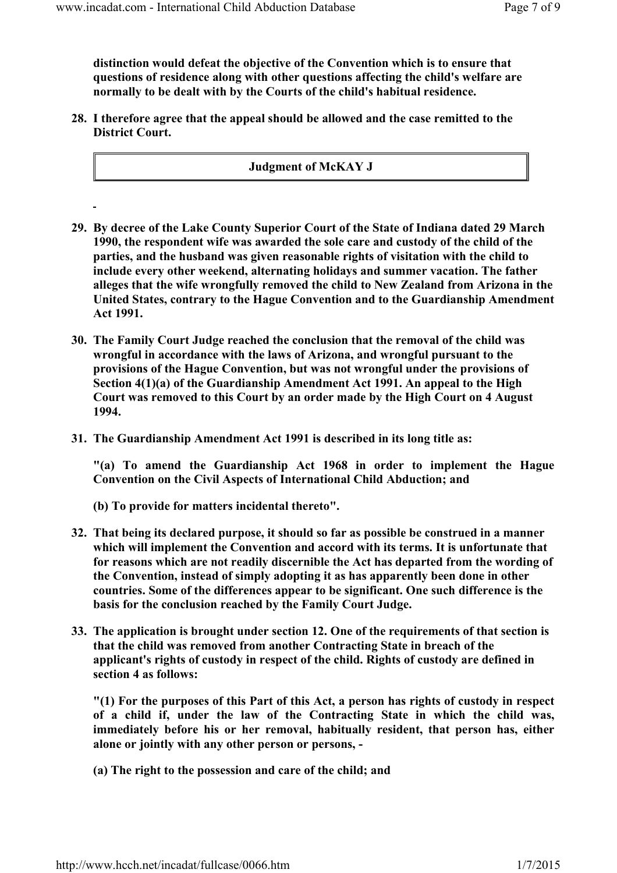distinction would defeat the objective of the Convention which is to ensure that questions of residence along with other questions affecting the child's welfare are normally to be dealt with by the Courts of the child's habitual residence.

28. I therefore agree that the appeal should be allowed and the case remitted to the District Court.

## Judgment of McKAY J

- 29. By decree of the Lake County Superior Court of the State of Indiana dated 29 March 1990, the respondent wife was awarded the sole care and custody of the child of the parties, and the husband was given reasonable rights of visitation with the child to include every other weekend, alternating holidays and summer vacation. The father alleges that the wife wrongfully removed the child to New Zealand from Arizona in the United States, contrary to the Hague Convention and to the Guardianship Amendment Act 1991.
- 30. The Family Court Judge reached the conclusion that the removal of the child was wrongful in accordance with the laws of Arizona, and wrongful pursuant to the provisions of the Hague Convention, but was not wrongful under the provisions of Section 4(1)(a) of the Guardianship Amendment Act 1991. An appeal to the High Court was removed to this Court by an order made by the High Court on 4 August 1994.
- 31. The Guardianship Amendment Act 1991 is described in its long title as:

"(a) To amend the Guardianship Act 1968 in order to implement the Hague Convention on the Civil Aspects of International Child Abduction; and

- (b) To provide for matters incidental thereto".
- 32. That being its declared purpose, it should so far as possible be construed in a manner which will implement the Convention and accord with its terms. It is unfortunate that for reasons which are not readily discernible the Act has departed from the wording of the Convention, instead of simply adopting it as has apparently been done in other countries. Some of the differences appear to be significant. One such difference is the basis for the conclusion reached by the Family Court Judge.
- 33. The application is brought under section 12. One of the requirements of that section is that the child was removed from another Contracting State in breach of the applicant's rights of custody in respect of the child. Rights of custody are defined in section 4 as follows:

"(1) For the purposes of this Part of this Act, a person has rights of custody in respect of a child if, under the law of the Contracting State in which the child was, immediately before his or her removal, habitually resident, that person has, either alone or jointly with any other person or persons, -

(a) The right to the possession and care of the child; and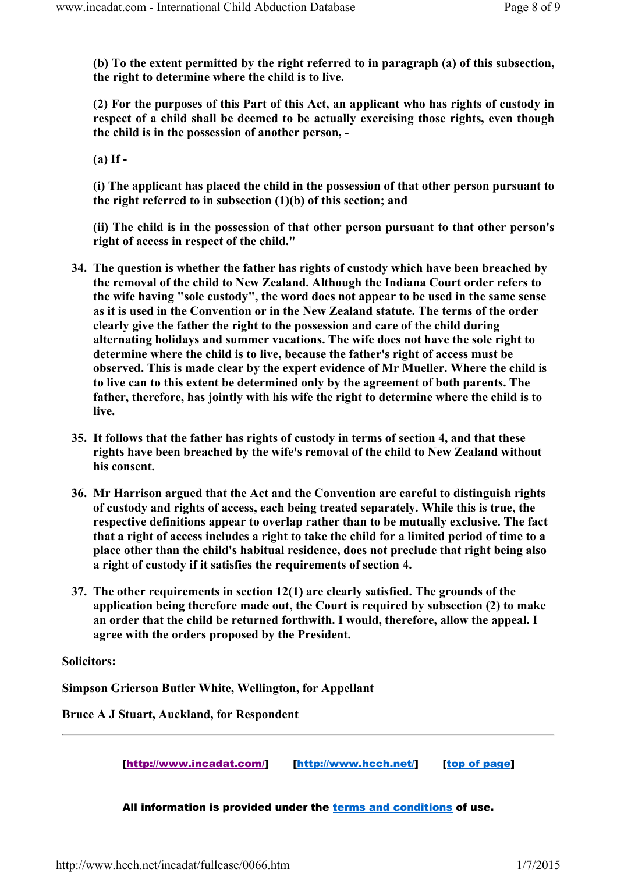(b) To the extent permitted by the right referred to in paragraph (a) of this subsection, the right to determine where the child is to live.

(2) For the purposes of this Part of this Act, an applicant who has rights of custody in respect of a child shall be deemed to be actually exercising those rights, even though the child is in the possession of another person, -

(a) If -

(i) The applicant has placed the child in the possession of that other person pursuant to the right referred to in subsection (1)(b) of this section; and

(ii) The child is in the possession of that other person pursuant to that other person's right of access in respect of the child."

- 34. The question is whether the father has rights of custody which have been breached by the removal of the child to New Zealand. Although the Indiana Court order refers to the wife having "sole custody", the word does not appear to be used in the same sense as it is used in the Convention or in the New Zealand statute. The terms of the order clearly give the father the right to the possession and care of the child during alternating holidays and summer vacations. The wife does not have the sole right to determine where the child is to live, because the father's right of access must be observed. This is made clear by the expert evidence of Mr Mueller. Where the child is to live can to this extent be determined only by the agreement of both parents. The father, therefore, has jointly with his wife the right to determine where the child is to live.
- 35. It follows that the father has rights of custody in terms of section 4, and that these rights have been breached by the wife's removal of the child to New Zealand without his consent.
- 36. Mr Harrison argued that the Act and the Convention are careful to distinguish rights of custody and rights of access, each being treated separately. While this is true, the respective definitions appear to overlap rather than to be mutually exclusive. The fact that a right of access includes a right to take the child for a limited period of time to a place other than the child's habitual residence, does not preclude that right being also a right of custody if it satisfies the requirements of section 4.
- 37. The other requirements in section 12(1) are clearly satisfied. The grounds of the application being therefore made out, the Court is required by subsection (2) to make an order that the child be returned forthwith. I would, therefore, allow the appeal. I agree with the orders proposed by the President.

Solicitors:

Simpson Grierson Butler White, Wellington, for Appellant

Bruce A J Stuart, Auckland, for Respondent

[http://www.incadat.com/] [http://www.hcch.net/] [top of page]

All information is provided under the terms and conditions of use.